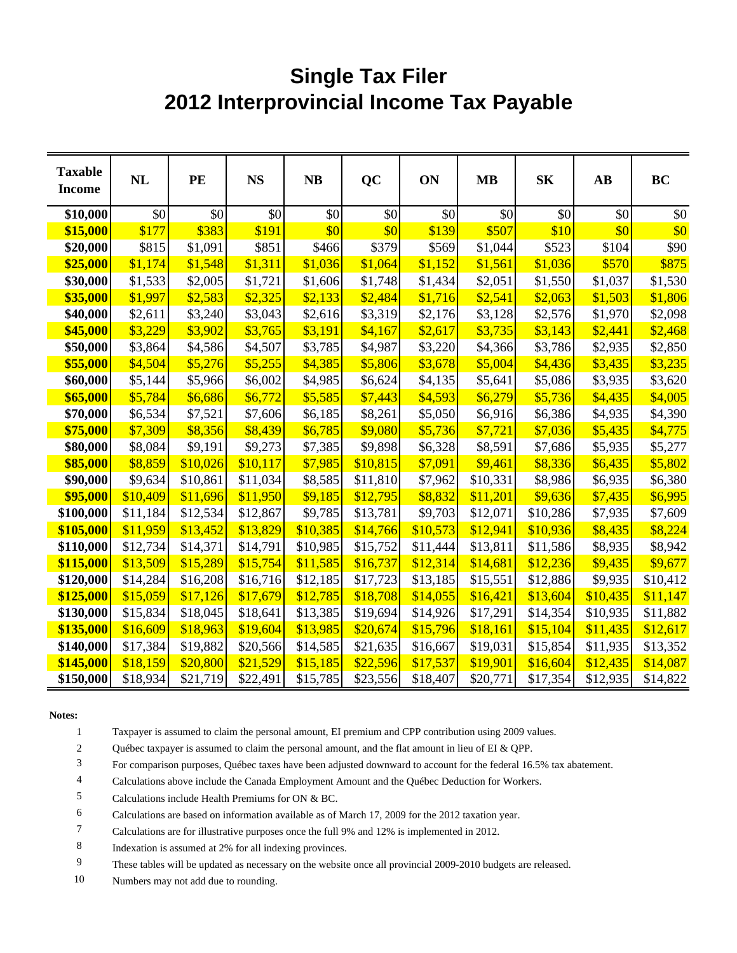## **Single Tax Filer 2012 Interprovincial Income Tax Payable**

| <b>Taxable</b><br><b>Income</b> | NL       | PE       | <b>NS</b> | <b>NB</b> | QC       | ON       | <b>MB</b> | S <sub>K</sub> | $\mathbf{A}\mathbf{B}$ | <b>BC</b> |
|---------------------------------|----------|----------|-----------|-----------|----------|----------|-----------|----------------|------------------------|-----------|
| \$10,000                        | \$0      | \$0      | \$0       | \$0       | \$0      | \$0      | \$0       | \$0            | \$0                    | \$0       |
| \$15,000                        | \$177    | \$383    | \$191     | \$0       | \$0      | \$139    | \$507     | \$10           | \$0                    | \$0       |
| \$20,000                        | \$815    | \$1,091  | \$851     | \$466     | \$379    | \$569    | \$1,044   | \$523          | \$104                  | \$90      |
| \$25,000                        | \$1,174  | \$1,548  | \$1,311   | \$1,036   | \$1,064  | \$1,152  | \$1,561   | \$1,036        | \$570                  | \$875     |
| \$30,000                        | \$1,533  | \$2,005  | \$1,721   | \$1,606   | \$1,748  | \$1,434  | \$2,051   | \$1,550        | \$1,037                | \$1,530   |
| \$35,000                        | \$1,997  | \$2,583  | \$2,325   | \$2,133   | \$2,484  | \$1,716  | \$2,541   | \$2,063        | \$1,503                | \$1,806   |
| \$40,000                        | \$2,611  | \$3,240  | \$3,043   | \$2,616   | \$3,319  | \$2,176  | \$3,128   | \$2,576        | \$1,970                | \$2,098   |
| \$45,000                        | \$3,229  | \$3,902  | \$3,765   | \$3,191   | \$4,167  | \$2,617  | \$3,735   | \$3,143        | \$2,441                | \$2,468   |
| \$50,000                        | \$3,864  | \$4,586  | \$4,507   | \$3,785   | \$4,987  | \$3,220  | \$4,366   | \$3,786        | \$2,935                | \$2,850   |
| \$55,000                        | \$4,504  | \$5,276  | \$5,255   | \$4,385   | \$5,806  | \$3,678  | \$5,004   | \$4,436        | \$3,435                | \$3,235   |
| \$60,000                        | \$5,144  | \$5,966  | \$6,002   | \$4,985   | \$6,624  | \$4,135  | \$5,641   | \$5,086        | \$3,935                | \$3,620   |
| \$65,000                        | \$5,784  | \$6,686  | \$6,772   | \$5,585   | \$7,443  | \$4,593  | \$6,279   | \$5,736        | \$4,435                | \$4,005   |
| \$70,000                        | \$6,534  | \$7,521  | \$7,606   | \$6,185   | \$8,261  | \$5,050  | \$6,916   | \$6,386        | \$4,935                | \$4,390   |
| \$75,000                        | \$7,309  | \$8,356  | \$8,439   | \$6,785   | \$9,080  | \$5,736  | \$7,721   | \$7,036        | \$5,435                | \$4,775   |
| \$80,000                        | \$8,084  | \$9,191  | \$9,273   | \$7,385   | \$9,898  | \$6,328  | \$8,591   | \$7,686        | \$5,935                | \$5,277   |
| \$85,000                        | \$8,859  | \$10,026 | \$10,117  | \$7,985   | \$10,815 | \$7,091  | \$9,461   | \$8,336        | \$6,435                | \$5,802   |
| \$90,000                        | \$9,634  | \$10,861 | \$11,034  | \$8,585   | \$11,810 | \$7,962  | \$10,331  | \$8,986        | \$6,935                | \$6,380   |
| \$95,000                        | \$10,409 | \$11,696 | \$11,950  | \$9,185   | \$12,795 | \$8,832  | \$11,201  | \$9,636        | \$7,435                | \$6,995   |
| \$100,000                       | \$11,184 | \$12,534 | \$12,867  | \$9,785   | \$13,781 | \$9,703  | \$12,071  | \$10,286       | \$7,935                | \$7,609   |
| \$105,000                       | \$11,959 | \$13,452 | \$13,829  | \$10,385  | \$14,766 | \$10,573 | \$12,941  | \$10,936       | \$8,435                | \$8,224   |
| \$110,000                       | \$12,734 | \$14,371 | \$14,791  | \$10,985  | \$15,752 | \$11,444 | \$13,811  | \$11,586       | \$8,935                | \$8,942   |
| \$115,000                       | \$13,509 | \$15,289 | \$15,754  | \$11,585  | \$16,737 | \$12,314 | \$14,681  | \$12,236       | \$9,435                | \$9,677   |
| \$120,000                       | \$14,284 | \$16,208 | \$16,716  | \$12,185  | \$17,723 | \$13,185 | \$15,551  | \$12,886       | \$9,935                | \$10,412  |
| \$125,000                       | \$15,059 | \$17,126 | \$17,679  | \$12,785  | \$18,708 | \$14,055 | \$16,421  | \$13,604       | \$10,435               | \$11,147  |
| \$130,000                       | \$15,834 | \$18,045 | \$18,641  | \$13,385  | \$19,694 | \$14,926 | \$17,291  | \$14,354       | \$10,935               | \$11,882  |
| \$135,000                       | \$16,609 | \$18,963 | \$19,604  | \$13,985  | \$20,674 | \$15,796 | \$18,161  | \$15,104       | \$11,435               | \$12,617  |
| \$140,000                       | \$17,384 | \$19,882 | \$20,566  | \$14,585  | \$21,635 | \$16,667 | \$19,031  | \$15,854       | \$11,935               | \$13,352  |
| \$145,000                       | \$18,159 | \$20,800 | \$21,529  | \$15,185  | \$22,596 | \$17,537 | \$19,901  | \$16,604       | \$12,435               | \$14,087  |
| \$150,000                       | \$18,934 | \$21,719 | \$22,491  | \$15,785  | \$23,556 | \$18,407 | \$20,771  | \$17,354       | \$12,935               | \$14,822  |

**Notes:**

1 Taxpayer is assumed to claim the personal amount, EI premium and CPP contribution using 2009 values.

2 Québec taxpayer is assumed to claim the personal amount, and the flat amount in lieu of EI & QPP.

3 For comparison purposes, Québec taxes have been adjusted downward to account for the federal 16.5% tax abatement.

4 Calculations above include the Canada Employment Amount and the Québec Deduction for Workers.

5 Calculations include Health Premiums for ON & BC.

6 Calculations are based on information available as of March 17, 2009 for the 2012 taxation year.

7 Calculations are for illustrative purposes once the full 9% and 12% is implemented in 2012.

8 Indexation is assumed at 2% for all indexing provinces.

9 These tables will be updated as necessary on the website once all provincial 2009-2010 budgets are released.

10 Numbers may not add due to rounding.